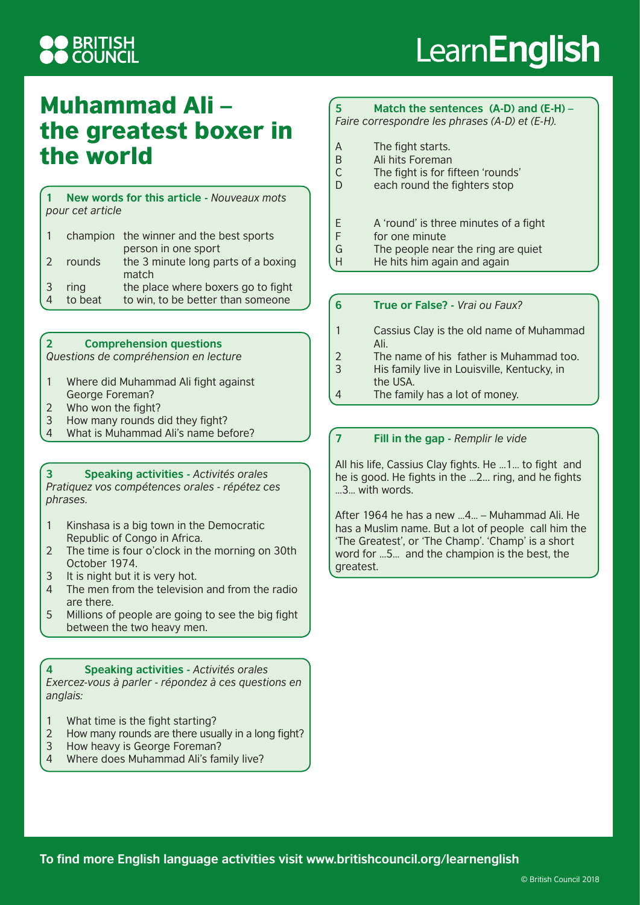## **DERITISH<br>DCOUNCIL**

# Learn**English**

### Muhammad Ali – the greatest boxer in the world

**1 New words for this article -** *Nouveaux mots pour cet article*

|                |         | champion the winner and the best sports |
|----------------|---------|-----------------------------------------|
|                |         | person in one sport                     |
| $\overline{2}$ | rounds  | the 3 minute long parts of a boxing     |
|                |         | match                                   |
| $\overline{3}$ | ring    | the place where boxers go to fight      |
| $\overline{4}$ | to beat | to win, to be better than someone       |

#### **2 Comprehension questions**

*Questions de compréhension en lecture*

- 1 Where did Muhammad Ali fight against George Foreman?
- 2 Who won the fight?
- 3 How many rounds did they fight?
- 4 What is Muhammad Ali's name before?

**3 Speaking activities -** *Activités orales Pratiquez vos compétences orales - répétez ces phrases.*

- 1 Kinshasa is a big town in the Democratic Republic of Congo in Africa.
- 2 The time is four o'clock in the morning on 30th October 1974.
- 3 It is night but it is very hot.
- 4 The men from the television and from the radio are there.
- 5 Millions of people are going to see the big fight between the two heavy men.

**4 Speaking activities -** *Activités orales Exercez-vous à parler - répondez à ces questions en anglais:*

- 1 What time is the fight starting?
- 2 How many rounds are there usually in a long fight?
- 3 How heavy is George Foreman?
- 4 Where does Muhammad Ali's family live?

### **5 Match the sentences (A-D) and (E-H) –**

*Faire correspondre les phrases (A-D) et (E-H).*

- A The fight starts.<br>B Ali hits Foreman
- Ali hits Foreman
- C The fight is for fifteen 'rounds'
- D each round the fighters stop
- E A 'round' is three minutes of a fight
- F for one minute
- G The people near the ring are quiet
- H He hits him again and again

### **6 True or False? -** *Vrai ou Faux?*

- 1 Cassius Clay is the old name of Muhammad Ali.
- 2 The name of his father is Muhammad too. 3 His family live in Louisville, Kentucky, in
- the USA.
- 4 The family has a lot of money.

### **7 Fill in the gap -** *Remplir le vide*

All his life, Cassius Clay fights. He ...1... to fight and he is good. He fights in the ...2... ring, and he fights …3… with words.

After 1964 he has a new …4… – Muhammad Ali. He has a Muslim name. But a lot of people call him the 'The Greatest', or 'The Champ'. 'Champ' is a short word for …5… and the champion is the best, the greatest.